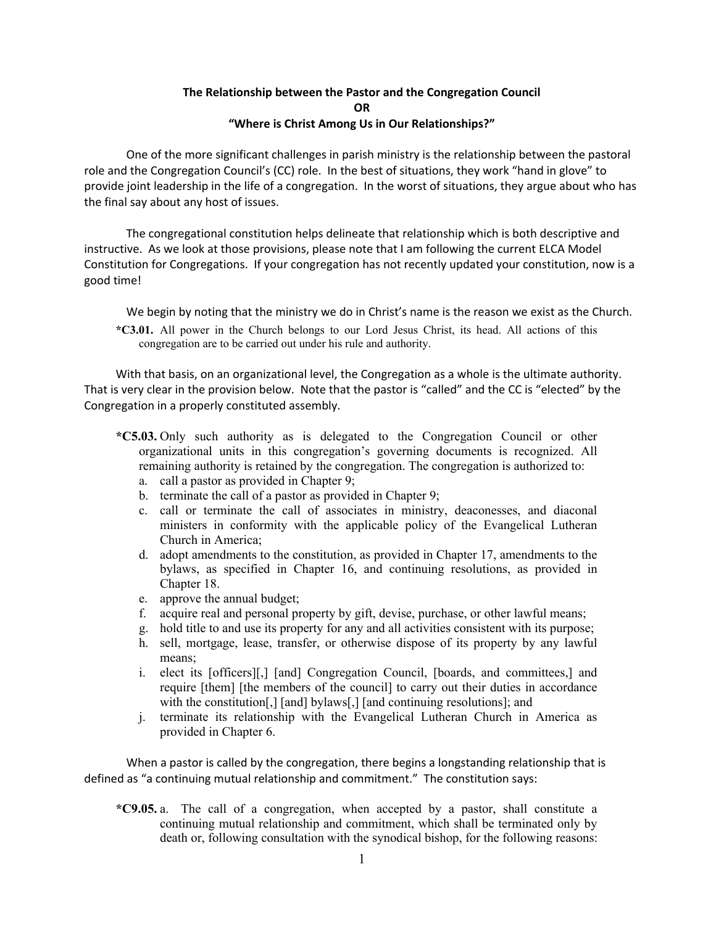## **The Relationship between the Pastor and the Congregation Council OR "Where is Christ Among Us in Our Relationships?"**

One of the more significant challenges in parish ministry is the relationship between the pastoral role and the Congregation Council's (CC) role. In the best of situations, they work "hand in glove" to provide joint leadership in the life of a congregation. In the worst of situations, they argue about who has the final say about any host of issues.

The congregational constitution helps delineate that relationship which is both descriptive and instructive. As we look at those provisions, please note that I am following the current ELCA Model Constitution for Congregations. If your congregation has not recently updated your constitution, now is a good time!

We begin by noting that the ministry we do in Christ's name is the reason we exist as the Church. **\*C3.01.** All power in the Church belongs to our Lord Jesus Christ, its head. All actions of this

congregation are to be carried out under his rule and authority.

With that basis, on an organizational level, the Congregation as a whole is the ultimate authority. That is very clear in the provision below. Note that the pastor is "called" and the CC is "elected" by the Congregation in a properly constituted assembly.

- **\*C5.03.** Only such authority as is delegated to the Congregation Council or other organizational units in this congregation's governing documents is recognized. All remaining authority is retained by the congregation. The congregation is authorized to:
	- a. call a pastor as provided in Chapter 9;
	- b. terminate the call of a pastor as provided in Chapter 9;
	- c. call or terminate the call of associates in ministry, deaconesses, and diaconal ministers in conformity with the applicable policy of the Evangelical Lutheran Church in America;
	- d. adopt amendments to the constitution, as provided in Chapter 17, amendments to the bylaws, as specified in Chapter 16, and continuing resolutions, as provided in Chapter 18.
	- e. approve the annual budget;
	- f. acquire real and personal property by gift, devise, purchase, or other lawful means;
	- g. hold title to and use its property for any and all activities consistent with its purpose;
	- h. sell, mortgage, lease, transfer, or otherwise dispose of its property by any lawful means;
	- i. elect its [officers][,] [and] Congregation Council, [boards, and committees,] and require [them] [the members of the council] to carry out their duties in accordance with the constitution<sup>[1]</sup>, [and] bylaws<sup>[1]</sup>, [and continuing resolutions]; and
	- j. terminate its relationship with the Evangelical Lutheran Church in America as provided in Chapter 6.

When a pastor is called by the congregation, there begins a longstanding relationship that is defined as "a continuing mutual relationship and commitment." The constitution says:

**\*C9.05.** a. The call of a congregation, when accepted by a pastor, shall constitute a continuing mutual relationship and commitment, which shall be terminated only by death or, following consultation with the synodical bishop, for the following reasons: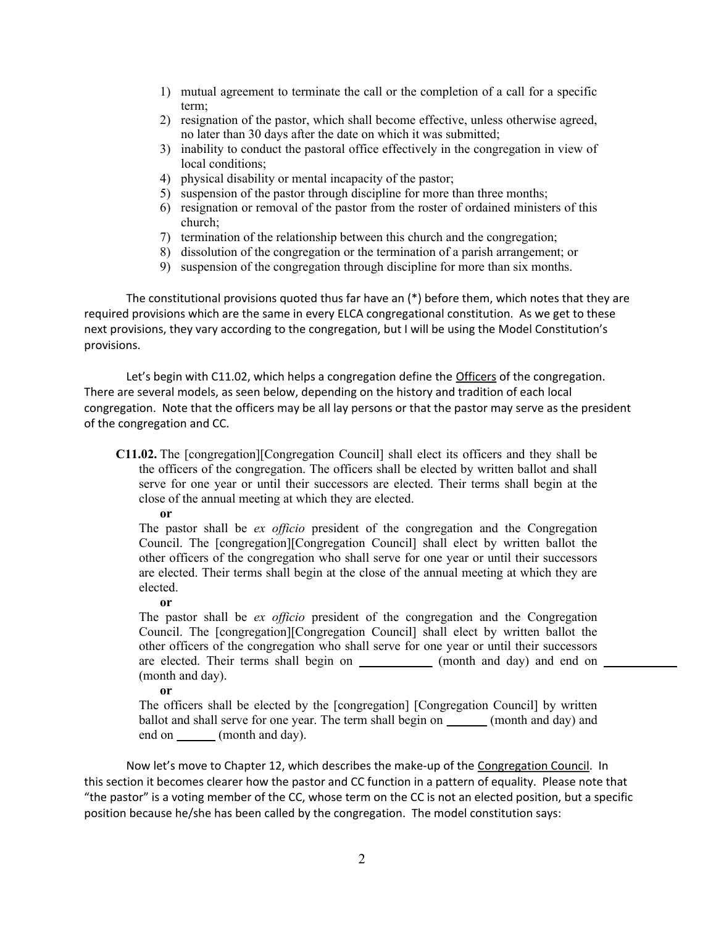- 1) mutual agreement to terminate the call or the completion of a call for a specific term;
- 2) resignation of the pastor, which shall become effective, unless otherwise agreed, no later than 30 days after the date on which it was submitted;
- 3) inability to conduct the pastoral office effectively in the congregation in view of local conditions:
- 4) physical disability or mental incapacity of the pastor;
- 5) suspension of the pastor through discipline for more than three months;
- 6) resignation or removal of the pastor from the roster of ordained ministers of this church;
- 7) termination of the relationship between this church and the congregation;
- 8) dissolution of the congregation or the termination of a parish arrangement; or
- 9) suspension of the congregation through discipline for more than six months.

The constitutional provisions quoted thus far have an  $(*)$  before them, which notes that they are required provisions which are the same in every ELCA congregational constitution. As we get to these next provisions, they vary according to the congregation, but I will be using the Model Constitution's provisions.

Let's begin with C11.02, which helps a congregation define the **Officers** of the congregation. There are several models, as seen below, depending on the history and tradition of each local congregation. Note that the officers may be all lay persons or that the pastor may serve as the president of the congregation and CC.

- **C11.02.** The [congregation][Congregation Council] shall elect its officers and they shall be the officers of the congregation. The officers shall be elected by written ballot and shall serve for one year or until their successors are elected. Their terms shall begin at the close of the annual meeting at which they are elected.
	- **or**

The pastor shall be *ex officio* president of the congregation and the Congregation Council. The [congregation][Congregation Council] shall elect by written ballot the other officers of the congregation who shall serve for one year or until their successors are elected. Their terms shall begin at the close of the annual meeting at which they are elected.

**or**

The pastor shall be *ex officio* president of the congregation and the Congregation Council. The [congregation][Congregation Council] shall elect by written ballot the other officers of the congregation who shall serve for one year or until their successors are elected. Their terms shall begin on \_\_\_\_\_\_\_\_\_\_\_ (month and day) and end on \_\_\_\_\_\_\_\_ (month and day).

**or**

The officers shall be elected by the [congregation] [Congregation Council] by written ballot and shall serve for one year. The term shall begin on (month and day) and end on (month and day).

Now let's move to Chapter 12, which describes the make-up of the Congregation Council. In this section it becomes clearer how the pastor and CC function in a pattern of equality. Please note that "the pastor" is a voting member of the CC, whose term on the CC is not an elected position, but a specific position because he/she has been called by the congregation. The model constitution says: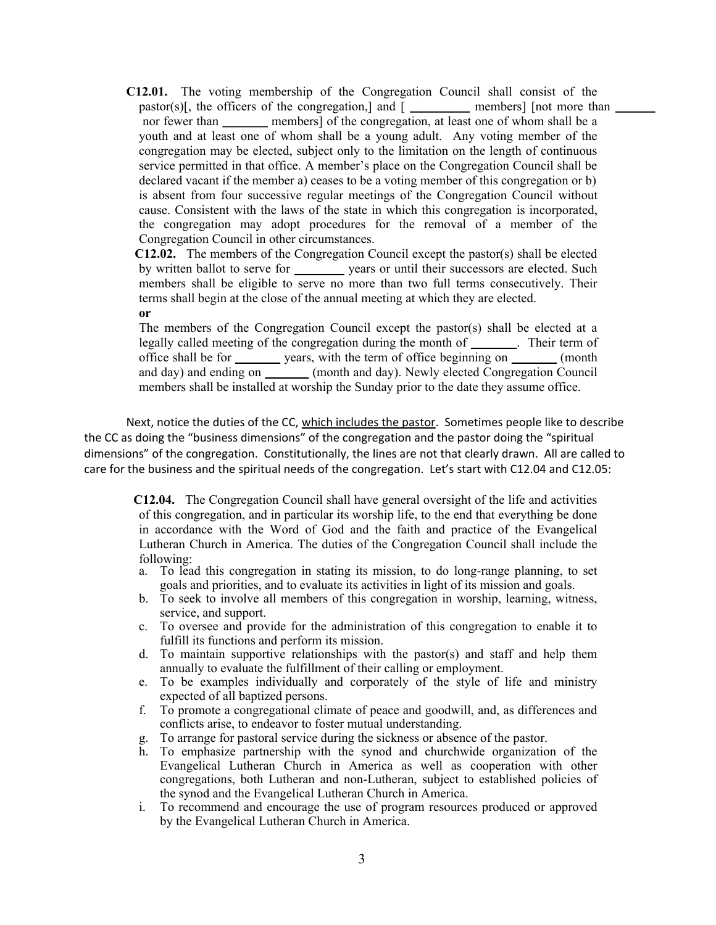**C12.01.** The voting membership of the Congregation Council shall consist of the pastor(s)[, the officers of the congregation,] and  $[$  \_\_\_\_\_\_\_\_\_\_\_\_\_\_ members] [not more than  $\Box$ nor fewer than **members**] of the congregation, at least one of whom shall be a youth and at least one of whom shall be a young adult. Any voting member of the congregation may be elected, subject only to the limitation on the length of continuous service permitted in that office. A member's place on the Congregation Council shall be declared vacant if the member a) ceases to be a voting member of this congregation or b) is absent from four successive regular meetings of the Congregation Council without cause. Consistent with the laws of the state in which this congregation is incorporated, the congregation may adopt procedures for the removal of a member of the Congregation Council in other circumstances.

 **C12.02.** The members of the Congregation Council except the pastor(s) shall be elected by written ballot to serve for vears or until their successors are elected. Such members shall be eligible to serve no more than two full terms consecutively. Their terms shall begin at the close of the annual meeting at which they are elected. **or**

The members of the Congregation Council except the pastor(s) shall be elected at a legally called meeting of the congregation during the month of \_\_\_\_\_\_\_. Their term of office shall be for \_\_\_\_\_\_\_ years, with the term of office beginning on \_\_\_\_\_\_\_ (month and day) and ending on \_\_\_\_\_\_\_ (month and day). Newly elected Congregation Council members shall be installed at worship the Sunday prior to the date they assume office.

Next, notice the duties of the CC, which includes the pastor. Sometimes people like to describe the CC as doing the "business dimensions" of the congregation and the pastor doing the "spiritual dimensions" of the congregation. Constitutionally, the lines are not that clearly drawn. All are called to care for the business and the spiritual needs of the congregation. Let's start with C12.04 and C12.05:

 **C12.04.** The Congregation Council shall have general oversight of the life and activities of this congregation, and in particular its worship life, to the end that everything be done in accordance with the Word of God and the faith and practice of the Evangelical Lutheran Church in America. The duties of the Congregation Council shall include the following:

- a. To lead this congregation in stating its mission, to do long-range planning, to set goals and priorities, and to evaluate its activities in light of its mission and goals.
- b. To seek to involve all members of this congregation in worship, learning, witness, service, and support.
- c. To oversee and provide for the administration of this congregation to enable it to fulfill its functions and perform its mission.
- d. To maintain supportive relationships with the pastor(s) and staff and help them annually to evaluate the fulfillment of their calling or employment.
- e. To be examples individually and corporately of the style of life and ministry expected of all baptized persons.
- f. To promote a congregational climate of peace and goodwill, and, as differences and conflicts arise, to endeavor to foster mutual understanding.
- g. To arrange for pastoral service during the sickness or absence of the pastor.
- h. To emphasize partnership with the synod and churchwide organization of the Evangelical Lutheran Church in America as well as cooperation with other congregations, both Lutheran and non-Lutheran, subject to established policies of the synod and the Evangelical Lutheran Church in America.
- i. To recommend and encourage the use of program resources produced or approved by the Evangelical Lutheran Church in America.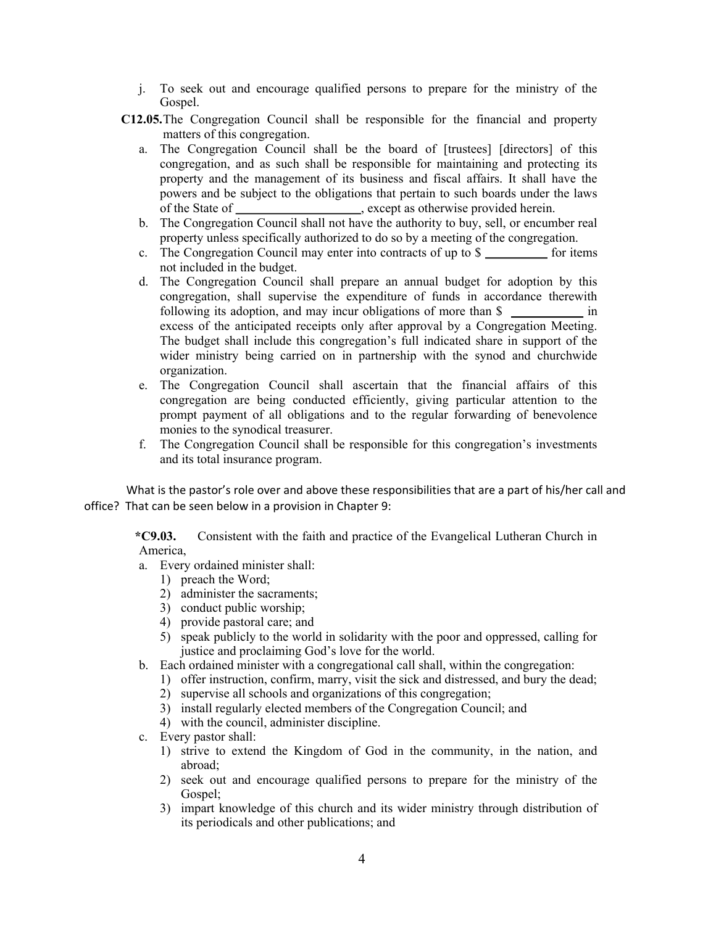- j. To seek out and encourage qualified persons to prepare for the ministry of the Gospel.
- **C12.05.**The Congregation Council shall be responsible for the financial and property matters of this congregation.
	- a. The Congregation Council shall be the board of [trustees] [directors] of this congregation, and as such shall be responsible for maintaining and protecting its property and the management of its business and fiscal affairs. It shall have the powers and be subject to the obligations that pertain to such boards under the laws of the State of , except as otherwise provided herein.
	- b. The Congregation Council shall not have the authority to buy, sell, or encumber real property unless specifically authorized to do so by a meeting of the congregation.
	- c. The Congregation Council may enter into contracts of up to \$ for items not included in the budget.
	- d. The Congregation Council shall prepare an annual budget for adoption by this congregation, shall supervise the expenditure of funds in accordance therewith following its adoption, and may incur obligations of more than \$ excess of the anticipated receipts only after approval by a Congregation Meeting. The budget shall include this congregation's full indicated share in support of the wider ministry being carried on in partnership with the synod and churchwide organization.
	- e. The Congregation Council shall ascertain that the financial affairs of this congregation are being conducted efficiently, giving particular attention to the prompt payment of all obligations and to the regular forwarding of benevolence monies to the synodical treasurer.
	- f. The Congregation Council shall be responsible for this congregation's investments and its total insurance program.

What is the pastor's role over and above these responsibilities that are a part of his/her call and office? That can be seen below in a provision in Chapter 9:

 **\*C9.03.** Consistent with the faith and practice of the Evangelical Lutheran Church in America,

- a. Every ordained minister shall:
	- 1) preach the Word;
	- 2) administer the sacraments;
	- 3) conduct public worship;
	- 4) provide pastoral care; and
	- 5) speak publicly to the world in solidarity with the poor and oppressed, calling for justice and proclaiming God's love for the world.
- b. Each ordained minister with a congregational call shall, within the congregation:
	- 1) offer instruction, confirm, marry, visit the sick and distressed, and bury the dead;
	- 2) supervise all schools and organizations of this congregation;
	- 3) install regularly elected members of the Congregation Council; and
	- 4) with the council, administer discipline.
- c. Every pastor shall:
	- 1) strive to extend the Kingdom of God in the community, in the nation, and abroad;
	- 2) seek out and encourage qualified persons to prepare for the ministry of the Gospel;
	- 3) impart knowledge of this church and its wider ministry through distribution of its periodicals and other publications; and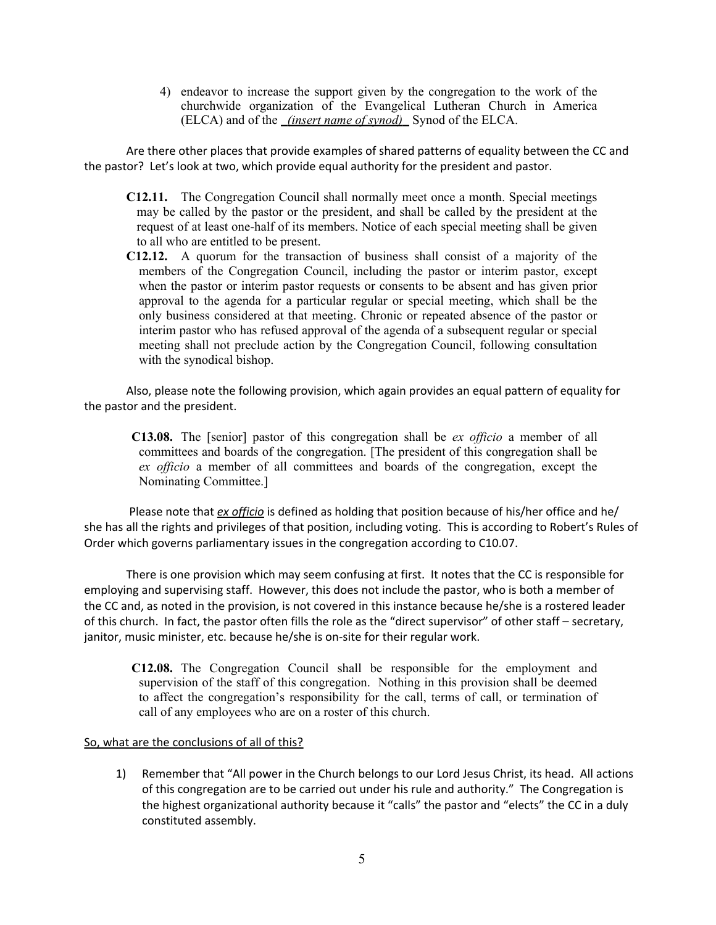4) endeavor to increase the support given by the congregation to the work of the churchwide organization of the Evangelical Lutheran Church in America (ELCA) and of the *(insert name of synod)* Synod of the ELCA.

Are there other places that provide examples of shared patterns of equality between the CC and the pastor? Let's look at two, which provide equal authority for the president and pastor.

- **C12.11.** The Congregation Council shall normally meet once a month. Special meetings may be called by the pastor or the president, and shall be called by the president at the request of at least one-half of its members. Notice of each special meeting shall be given to all who are entitled to be present.
- **C12.12.** A quorum for the transaction of business shall consist of a majority of the members of the Congregation Council, including the pastor or interim pastor, except when the pastor or interim pastor requests or consents to be absent and has given prior approval to the agenda for a particular regular or special meeting, which shall be the only business considered at that meeting. Chronic or repeated absence of the pastor or interim pastor who has refused approval of the agenda of a subsequent regular or special meeting shall not preclude action by the Congregation Council, following consultation with the synodical bishop.

Also, please note the following provision, which again provides an equal pattern of equality for the pastor and the president.

**C13.08.** The [senior] pastor of this congregation shall be *ex officio* a member of all committees and boards of the congregation. [The president of this congregation shall be *ex officio* a member of all committees and boards of the congregation, except the Nominating Committee.]

 Please note that *ex officio* is defined as holding that position because of his/her office and he/ she has all the rights and privileges of that position, including voting. This is according to Robert's Rules of Order which governs parliamentary issues in the congregation according to C10.07.

There is one provision which may seem confusing at first. It notes that the CC is responsible for employing and supervising staff. However, this does not include the pastor, who is both a member of the CC and, as noted in the provision, is not covered in this instance because he/she is a rostered leader of this church. In fact, the pastor often fills the role as the "direct supervisor" of other staff – secretary, janitor, music minister, etc. because he/she is on-site for their regular work.

**C12.08.** The Congregation Council shall be responsible for the employment and supervision of the staff of this congregation. Nothing in this provision shall be deemed to affect the congregation's responsibility for the call, terms of call, or termination of call of any employees who are on a roster of this church.

## So, what are the conclusions of all of this?

1) Remember that "All power in the Church belongs to our Lord Jesus Christ, its head. All actions of this congregation are to be carried out under his rule and authority." The Congregation is the highest organizational authority because it "calls" the pastor and "elects" the CC in a duly constituted assembly.